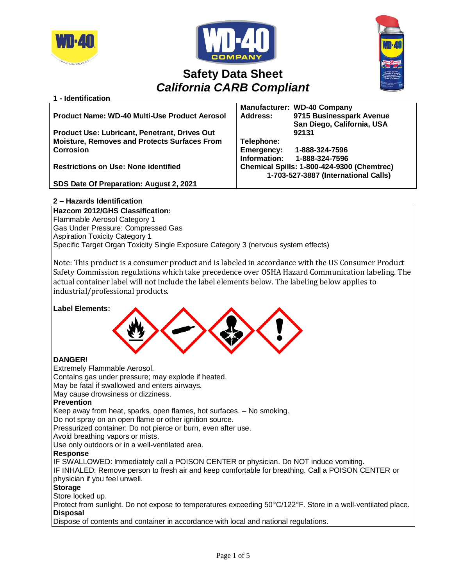

**1 - Identification**





# **Safety Data Sheet** *California CARB Compliant*

|                                                      | <b>Manufacturer: WD-40 Company</b>          |
|------------------------------------------------------|---------------------------------------------|
| <b>Product Name: WD-40 Multi-Use Product Aerosol</b> | 9715 Businesspark Avenue<br><b>Address:</b> |
|                                                      | San Diego, California, USA                  |
| <b>Product Use: Lubricant, Penetrant, Drives Out</b> | 92131                                       |
| <b>Moisture, Removes and Protects Surfaces From</b>  | Telephone:                                  |
| <b>Corrosion</b>                                     | <b>Emergency:</b><br>1-888-324-7596         |
|                                                      | Information:<br>1-888-324-7596              |
| <b>Restrictions on Use: None identified</b>          | Chemical Spills: 1-800-424-9300 (Chemtrec)  |
|                                                      | 1-703-527-3887 (International Calls)        |
| SDS Date Of Preparation: August 2, 2021              |                                             |

# **2 – Hazards Identification**

**Hazcom 2012/GHS Classification:** Flammable Aerosol Category 1 Gas Under Pressure: Compressed Gas Aspiration Toxicity Category 1 Specific Target Organ Toxicity Single Exposure Category 3 (nervous system effects)

Note: This product is a consumer product and is labeled in accordance with the US Consumer Product Safety Commission regulations which take precedence over OSHA Hazard Communication labeling. The actual container label will not include the label elements below. The labeling below applies to industrial/professional products.

## **Label Elements:**



# **DANGER**!

Extremely Flammable Aerosol.

Contains gas under pressure; may explode if heated.

May be fatal if swallowed and enters airways.

May cause drowsiness or dizziness.

## **Prevention**

Keep away from heat, sparks, open flames, hot surfaces. – No smoking.

Do not spray on an open flame or other ignition source.

Pressurized container: Do not pierce or burn, even after use.

Avoid breathing vapors or mists.

Use only outdoors or in a well-ventilated area.

## **Response**

IF SWALLOWED: Immediately call a POISON CENTER or physician. Do NOT induce vomiting.

IF INHALED: Remove person to fresh air and keep comfortable for breathing. Call a POISON CENTER or physician if you feel unwell.

#### **Storage**

Store locked up.

Protect from sunlight. Do not expose to temperatures exceeding 50°C/122°F. Store in a well-ventilated place. **Disposal**

Dispose of contents and container in accordance with local and national regulations.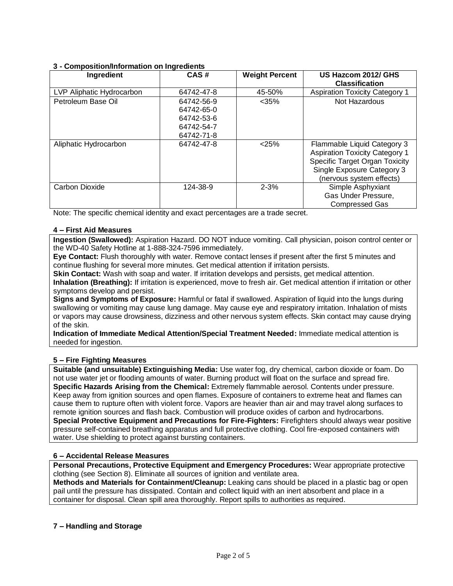## **3 - Composition/Information on Ingredients**

| Ingredient                | CAS#                                                               | <b>Weight Percent</b> | US Hazcom 2012/ GHS<br><b>Classification</b>                                                                                                                     |
|---------------------------|--------------------------------------------------------------------|-----------------------|------------------------------------------------------------------------------------------------------------------------------------------------------------------|
| LVP Aliphatic Hydrocarbon | 64742-47-8                                                         | 45-50%                | <b>Aspiration Toxicity Category 1</b>                                                                                                                            |
| Petroleum Base Oil        | 64742-56-9<br>64742-65-0<br>64742-53-6<br>64742-54-7<br>64742-71-8 | $<$ 35%               | Not Hazardous                                                                                                                                                    |
| Aliphatic Hydrocarbon     | 64742-47-8                                                         | < 25%                 | Flammable Liquid Category 3<br><b>Aspiration Toxicity Category 1</b><br>Specific Target Organ Toxicity<br>Single Exposure Category 3<br>(nervous system effects) |
| Carbon Dioxide            | 124-38-9                                                           | $2 - 3%$              | Simple Asphyxiant<br>Gas Under Pressure.<br><b>Compressed Gas</b>                                                                                                |

Note: The specific chemical identity and exact percentages are a trade secret.

## **4 – First Aid Measures**

**Ingestion (Swallowed):** Aspiration Hazard. DO NOT induce vomiting. Call physician, poison control center or the WD-40 Safety Hotline at 1-888-324-7596 immediately.

**Eye Contact:** Flush thoroughly with water. Remove contact lenses if present after the first 5 minutes and continue flushing for several more minutes. Get medical attention if irritation persists.

**Skin Contact:** Wash with soap and water. If irritation develops and persists, get medical attention.

**Inhalation (Breathing):** If irritation is experienced, move to fresh air. Get medical attention if irritation or other symptoms develop and persist.

**Signs and Symptoms of Exposure:** Harmful or fatal if swallowed. Aspiration of liquid into the lungs during swallowing or vomiting may cause lung damage. May cause eye and respiratory irritation. Inhalation of mists or vapors may cause drowsiness, dizziness and other nervous system effects. Skin contact may cause drying of the skin.

**Indication of Immediate Medical Attention/Special Treatment Needed:** Immediate medical attention is needed for ingestion.

# **5 – Fire Fighting Measures**

**Suitable (and unsuitable) Extinguishing Media:** Use water fog, dry chemical, carbon dioxide or foam. Do not use water jet or flooding amounts of water. Burning product will float on the surface and spread fire. **Specific Hazards Arising from the Chemical:** Extremely flammable aerosol. Contents under pressure. Keep away from ignition sources and open flames. Exposure of containers to extreme heat and flames can cause them to rupture often with violent force. Vapors are heavier than air and may travel along surfaces to remote ignition sources and flash back. Combustion will produce oxides of carbon and hydrocarbons. **Special Protective Equipment and Precautions for Fire-Fighters:** Firefighters should always wear positive pressure self-contained breathing apparatus and full protective clothing. Cool fire-exposed containers with water. Use shielding to protect against bursting containers.

## **6 – Accidental Release Measures**

**Personal Precautions, Protective Equipment and Emergency Procedures:** Wear appropriate protective clothing (see Section 8). Eliminate all sources of ignition and ventilate area.

**Methods and Materials for Containment/Cleanup:** Leaking cans should be placed in a plastic bag or open pail until the pressure has dissipated. Contain and collect liquid with an inert absorbent and place in a container for disposal. Clean spill area thoroughly. Report spills to authorities as required.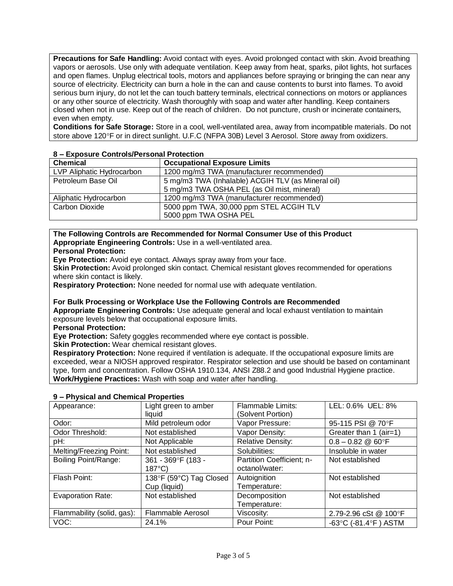**Precautions for Safe Handling:** Avoid contact with eyes. Avoid prolonged contact with skin. Avoid breathing vapors or aerosols. Use only with adequate ventilation. Keep away from heat, sparks, pilot lights, hot surfaces and open flames. Unplug electrical tools, motors and appliances before spraying or bringing the can near any source of electricity. Electricity can burn a hole in the can and cause contents to burst into flames. To avoid serious burn injury, do not let the can touch battery terminals, electrical connections on motors or appliances or any other source of electricity. Wash thoroughly with soap and water after handling. Keep containers closed when not in use. Keep out of the reach of children. Do not puncture, crush or incinerate containers, even when empty.

**Conditions for Safe Storage:** Store in a cool, well-ventilated area, away from incompatible materials. Do not store above 120°F or in direct sunlight. U.F.C (NFPA 30B) Level 3 Aerosol. Store away from oxidizers.

| $0 -$ Laposule Controls Fersonal Flotection |                                                    |
|---------------------------------------------|----------------------------------------------------|
| <b>Chemical</b>                             | <b>Occupational Exposure Limits</b>                |
| LVP Aliphatic Hydrocarbon                   | 1200 mg/m3 TWA (manufacturer recommended)          |
| Petroleum Base Oil                          | 5 mg/m3 TWA (Inhalable) ACGIH TLV (as Mineral oil) |
|                                             | 5 mg/m3 TWA OSHA PEL (as Oil mist, mineral)        |
| Aliphatic Hydrocarbon                       | 1200 mg/m3 TWA (manufacturer recommended)          |
| Carbon Dioxide                              | 5000 ppm TWA, 30,000 ppm STEL ACGIH TLV            |
|                                             | 5000 ppm TWA OSHA PEL                              |

## **8 – Exposure Controls/Personal Protection**

## **The Following Controls are Recommended for Normal Consumer Use of this Product Appropriate Engineering Controls:** Use in a well-ventilated area.

**Personal Protection:** 

**Eye Protection:** Avoid eye contact. Always spray away from your face.

**Skin Protection:** Avoid prolonged skin contact. Chemical resistant gloves recommended for operations where skin contact is likely.

**Respiratory Protection:** None needed for normal use with adequate ventilation.

**For Bulk Processing or Workplace Use the Following Controls are Recommended Appropriate Engineering Controls:** Use adequate general and local exhaust ventilation to maintain exposure levels below that occupational exposure limits.

**Personal Protection:**

**Eye Protection:** Safety goggles recommended where eye contact is possible.

**Skin Protection:** Wear chemical resistant gloves.

**Respiratory Protection:** None required if ventilation is adequate. If the occupational exposure limits are exceeded, wear a NIOSH approved respirator. Respirator selection and use should be based on contaminant type, form and concentration. Follow OSHA 1910.134, ANSI Z88.2 and good Industrial Hygiene practice. **Work/Hygiene Practices:** Wash with soap and water after handling.

| Appearance:                 | Light green to amber    | <b>Flammable Limits:</b>  | LEL: 0.6% UEL: 8%                          |
|-----------------------------|-------------------------|---------------------------|--------------------------------------------|
|                             | liquid                  | (Solvent Portion)         |                                            |
| Odor:                       | Mild petroleum odor     | Vapor Pressure:           | 95-115 PSI @ 70°F                          |
| Odor Threshold:             | Not established         | Vapor Density:            | Greater than 1 (air=1)                     |
| pH:                         | Not Applicable          | <b>Relative Density:</b>  | $0.8 - 0.82$ @ 60°F                        |
| Melting/Freezing Point:     | Not established         | Solubilities:             | Insoluble in water                         |
| <b>Boiling Point/Range:</b> | 361 - 369°F (183 -      | Partition Coefficient; n- | Not established                            |
|                             | $187^{\circ}$ C)        | octanol/water:            |                                            |
| Flash Point:                | 138°F (59°C) Tag Closed | Autoignition              | Not established                            |
|                             | Cup (liquid)            | Temperature:              |                                            |
| Evaporation Rate:           | Not established         | Decomposition             | Not established                            |
|                             |                         | Temperature:              |                                            |
| Flammability (solid, gas):  | Flammable Aerosol       | Viscosity:                | 2.79-2.96 cSt @ 100°F                      |
| VOC:                        | 24.1%                   | Pour Point:               | -63 $^{\circ}$ C (-81.4 $^{\circ}$ F) ASTM |

## **9 – Physical and Chemical Properties**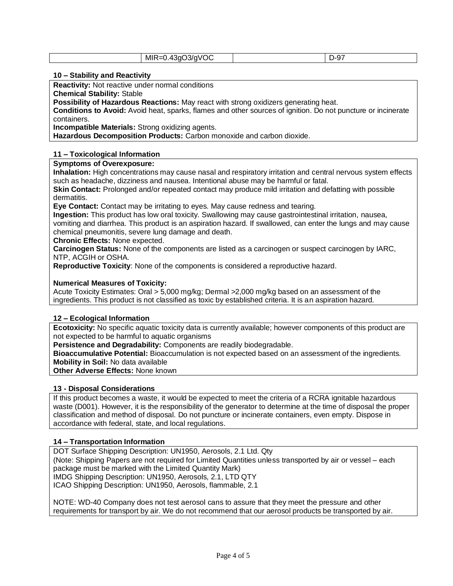| MIR<br>◡<br><u>.</u><br>ັ |
|---------------------------|
|---------------------------|

#### **10 – Stability and Reactivity**

**Reactivity:** Not reactive under normal conditions

**Chemical Stability:** Stable

**Possibility of Hazardous Reactions:** May react with strong oxidizers generating heat.

**Conditions to Avoid:** Avoid heat, sparks, flames and other sources of ignition. Do not puncture or incinerate containers.

**Incompatible Materials:** Strong oxidizing agents.

**Hazardous Decomposition Products:** Carbon monoxide and carbon dioxide.

#### **11 – Toxicological Information**

## **Symptoms of Overexposure:**

**Inhalation:** High concentrations may cause nasal and respiratory irritation and central nervous system effects such as headache, dizziness and nausea. Intentional abuse may be harmful or fatal.

**Skin Contact:** Prolonged and/or repeated contact may produce mild irritation and defatting with possible dermatitis.

**Eye Contact:** Contact may be irritating to eyes. May cause redness and tearing.

**Ingestion:** This product has low oral toxicity. Swallowing may cause gastrointestinal irritation, nausea,

vomiting and diarrhea. This product is an aspiration hazard. If swallowed, can enter the lungs and may cause chemical pneumonitis, severe lung damage and death.

**Chronic Effects:** None expected.

**Carcinogen Status:** None of the components are listed as a carcinogen or suspect carcinogen by IARC, NTP, ACGIH or OSHA.

**Reproductive Toxicity**: None of the components is considered a reproductive hazard.

#### **Numerical Measures of Toxicity:**

Acute Toxicity Estimates: Oral > 5,000 mg/kg; Dermal >2,000 mg/kg based on an assessment of the ingredients. This product is not classified as toxic by established criteria. It is an aspiration hazard.

## **12 – Ecological Information**

**Ecotoxicity:** No specific aquatic toxicity data is currently available; however components of this product are not expected to be harmful to aquatic organisms

**Persistence and Degradability:** Components are readily biodegradable.

**Bioaccumulative Potential:** Bioaccumulation is not expected based on an assessment of the ingredients. **Mobility in Soil:** No data available

**Other Adverse Effects:** None known

## **13 - Disposal Considerations**

If this product becomes a waste, it would be expected to meet the criteria of a RCRA ignitable hazardous waste (D001). However, it is the responsibility of the generator to determine at the time of disposal the proper classification and method of disposal. Do not puncture or incinerate containers, even empty. Dispose in accordance with federal, state, and local regulations.

## **14 – Transportation Information**

DOT Surface Shipping Description: UN1950, Aerosols, 2.1 Ltd. Qty (Note: Shipping Papers are not required for Limited Quantities unless transported by air or vessel – each package must be marked with the Limited Quantity Mark) IMDG Shipping Description: UN1950, Aerosols, 2.1, LTD QTY ICAO Shipping Description: UN1950, Aerosols, flammable, 2.1

NOTE: WD-40 Company does not test aerosol cans to assure that they meet the pressure and other requirements for transport by air. We do not recommend that our aerosol products be transported by air.